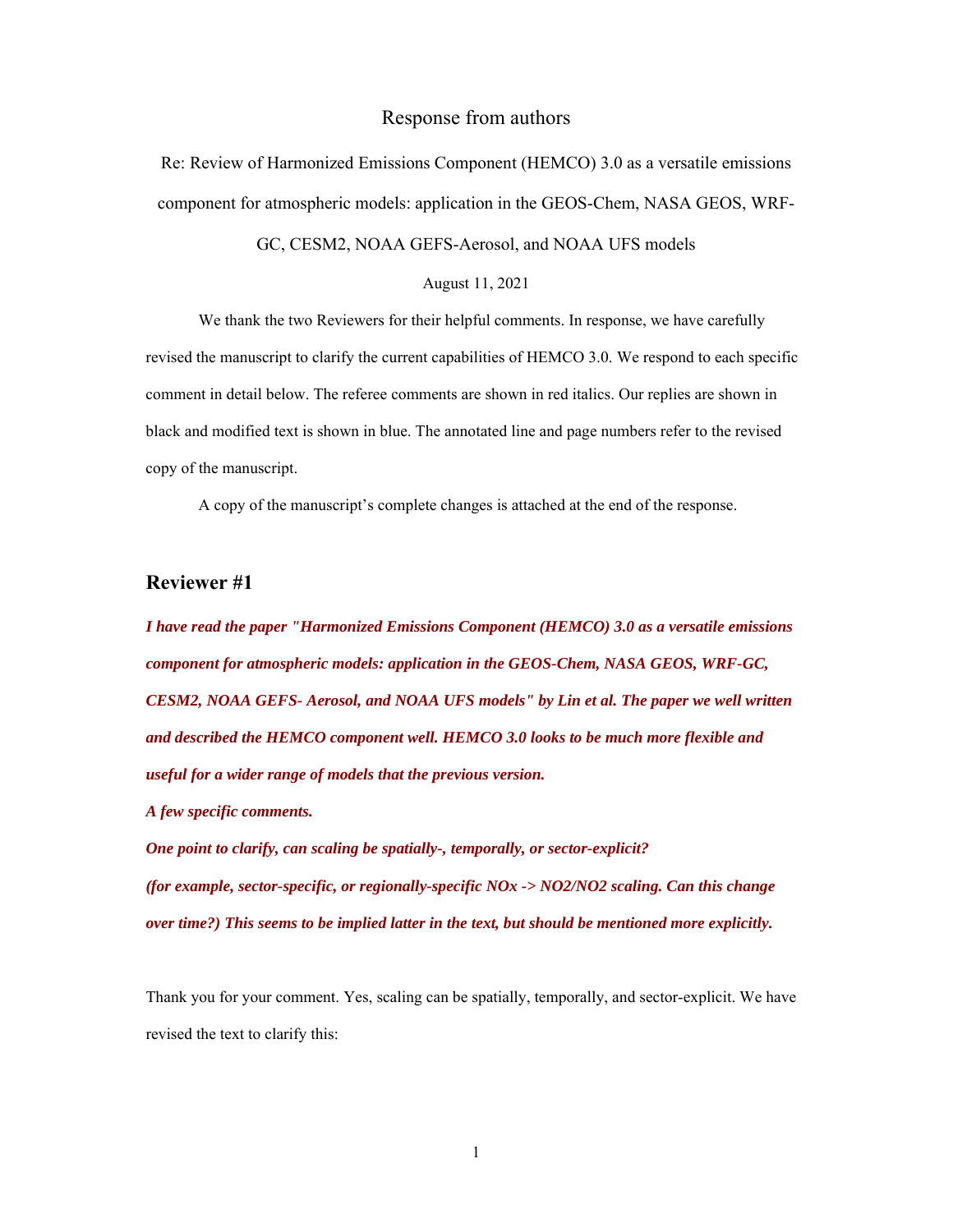## Response from authors

Re: Review of Harmonized Emissions Component (HEMCO) 3.0 as a versatile emissions component for atmospheric models: application in the GEOS-Chem, NASA GEOS, WRF-

GC, CESM2, NOAA GEFS-Aerosol, and NOAA UFS models

August 11, 2021

 We thank the two Reviewers for their helpful comments. In response, we have carefully revised the manuscript to clarify the current capabilities of HEMCO 3.0. We respond to each specific comment in detail below. The referee comments are shown in red italics. Our replies are shown in black and modified text is shown in blue. The annotated line and page numbers refer to the revised copy of the manuscript.

A copy of the manuscript's complete changes is attached at the end of the response.

# **Reviewer #1**

*I have read the paper "Harmonized Emissions Component (HEMCO) 3.0 as a versatile emissions component for atmospheric models: application in the GEOS-Chem, NASA GEOS, WRF-GC, CESM2, NOAA GEFS- Aerosol, and NOAA UFS models" by Lin et al. The paper we well written and described the HEMCO component well. HEMCO 3.0 looks to be much more flexible and useful for a wider range of models that the previous version.* 

*A few specific comments.* 

*One point to clarify, can scaling be spatially-, temporally, or sector-explicit? (for example, sector-specific, or regionally-specific NOx -> NO2/NO2 scaling. Can this change over time?) This seems to be implied latter in the text, but should be mentioned more explicitly.* 

Thank you for your comment. Yes, scaling can be spatially, temporally, and sector-explicit. We have revised the text to clarify this: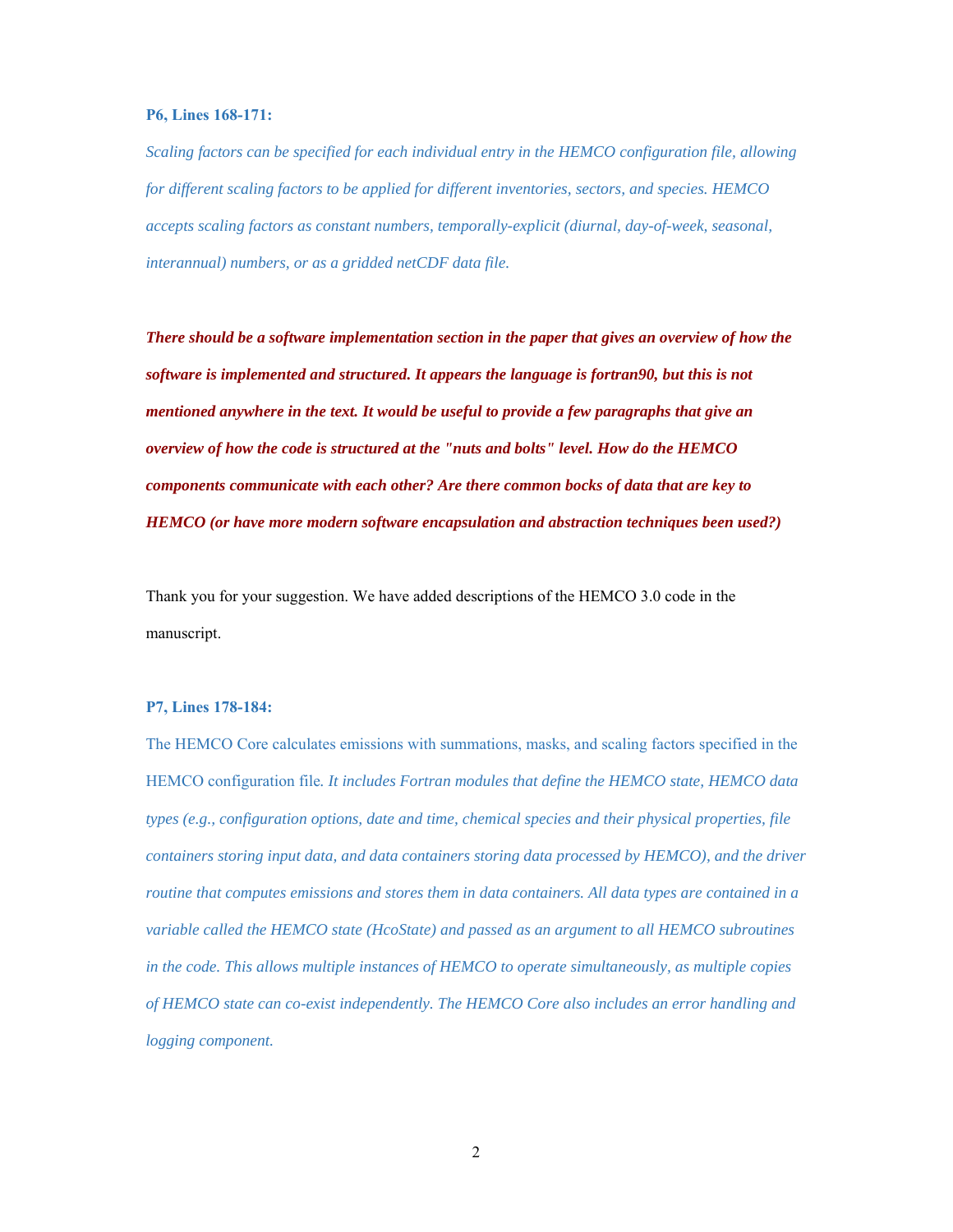#### **P6, Lines 168-171:**

*Scaling factors can be specified for each individual entry in the HEMCO configuration file, allowing for different scaling factors to be applied for different inventories, sectors, and species. HEMCO accepts scaling factors as constant numbers, temporally-explicit (diurnal, day-of-week, seasonal, interannual) numbers, or as a gridded netCDF data file.* 

*There should be a software implementation section in the paper that gives an overview of how the software is implemented and structured. It appears the language is fortran90, but this is not mentioned anywhere in the text. It would be useful to provide a few paragraphs that give an overview of how the code is structured at the "nuts and bolts" level. How do the HEMCO components communicate with each other? Are there common bocks of data that are key to HEMCO (or have more modern software encapsulation and abstraction techniques been used?)* 

Thank you for your suggestion. We have added descriptions of the HEMCO 3.0 code in the manuscript.

#### **P7, Lines 178-184:**

The HEMCO Core calculates emissions with summations, masks, and scaling factors specified in the HEMCO configuration file*. It includes Fortran modules that define the HEMCO state, HEMCO data types (e.g., configuration options, date and time, chemical species and their physical properties, file containers storing input data, and data containers storing data processed by HEMCO), and the driver routine that computes emissions and stores them in data containers. All data types are contained in a variable called the HEMCO state (HcoState) and passed as an argument to all HEMCO subroutines in the code. This allows multiple instances of HEMCO to operate simultaneously, as multiple copies of HEMCO state can co-exist independently. The HEMCO Core also includes an error handling and logging component.*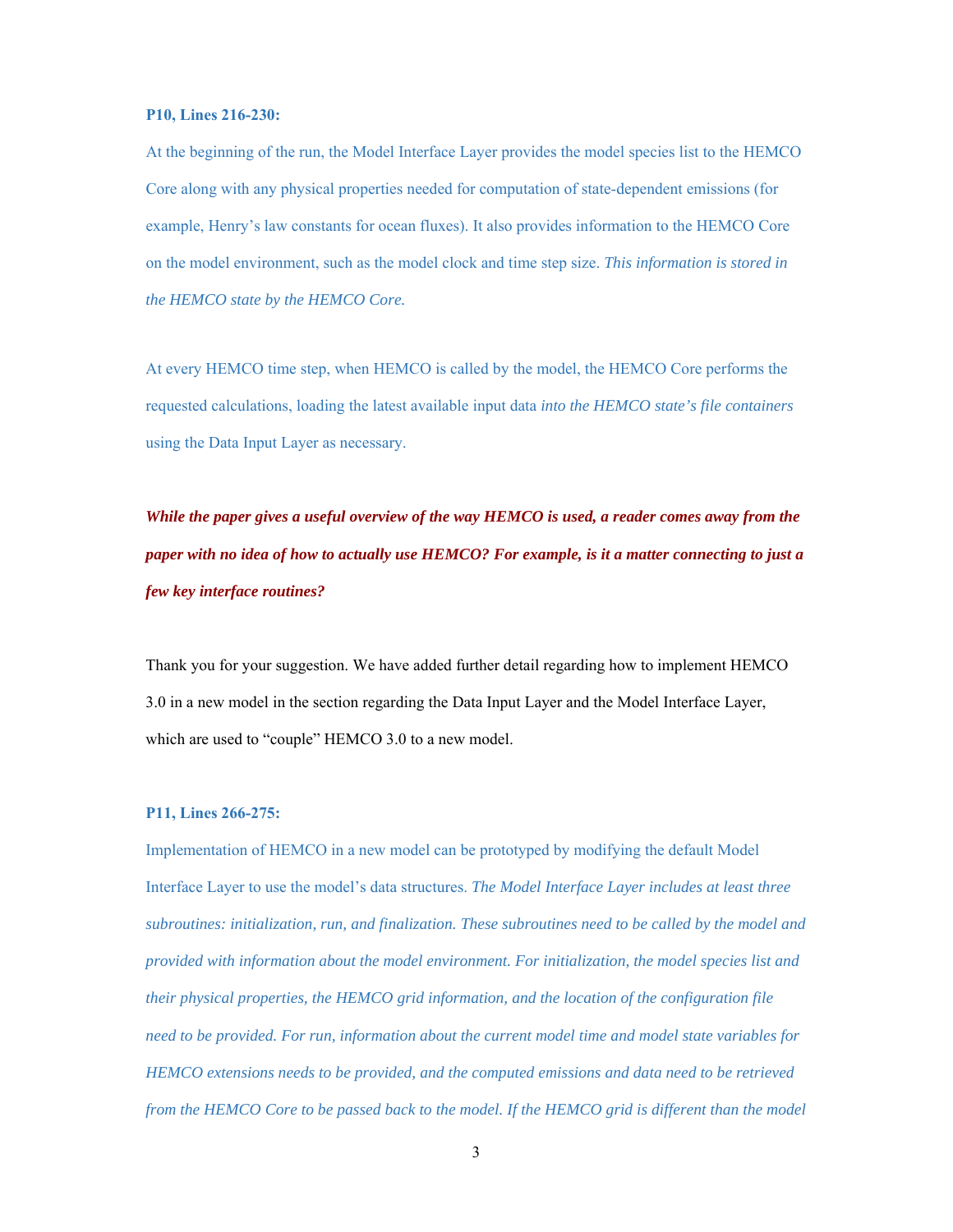#### **P10, Lines 216-230:**

At the beginning of the run, the Model Interface Layer provides the model species list to the HEMCO Core along with any physical properties needed for computation of state-dependent emissions (for example, Henry's law constants for ocean fluxes). It also provides information to the HEMCO Core on the model environment, such as the model clock and time step size. *This information is stored in the HEMCO state by the HEMCO Core.* 

At every HEMCO time step, when HEMCO is called by the model, the HEMCO Core performs the requested calculations, loading the latest available input data *into the HEMCO state's file containers*  using the Data Input Layer as necessary.

*While the paper gives a useful overview of the way HEMCO is used, a reader comes away from the paper with no idea of how to actually use HEMCO? For example, is it a matter connecting to just a few key interface routines?* 

Thank you for your suggestion. We have added further detail regarding how to implement HEMCO 3.0 in a new model in the section regarding the Data Input Layer and the Model Interface Layer, which are used to "couple" HEMCO 3.0 to a new model.

## **P11, Lines 266-275:**

Implementation of HEMCO in a new model can be prototyped by modifying the default Model Interface Layer to use the model's data structures. *The Model Interface Layer includes at least three subroutines: initialization, run, and finalization. These subroutines need to be called by the model and provided with information about the model environment. For initialization, the model species list and their physical properties, the HEMCO grid information, and the location of the configuration file need to be provided. For run, information about the current model time and model state variables for HEMCO extensions needs to be provided, and the computed emissions and data need to be retrieved from the HEMCO Core to be passed back to the model. If the HEMCO grid is different than the model*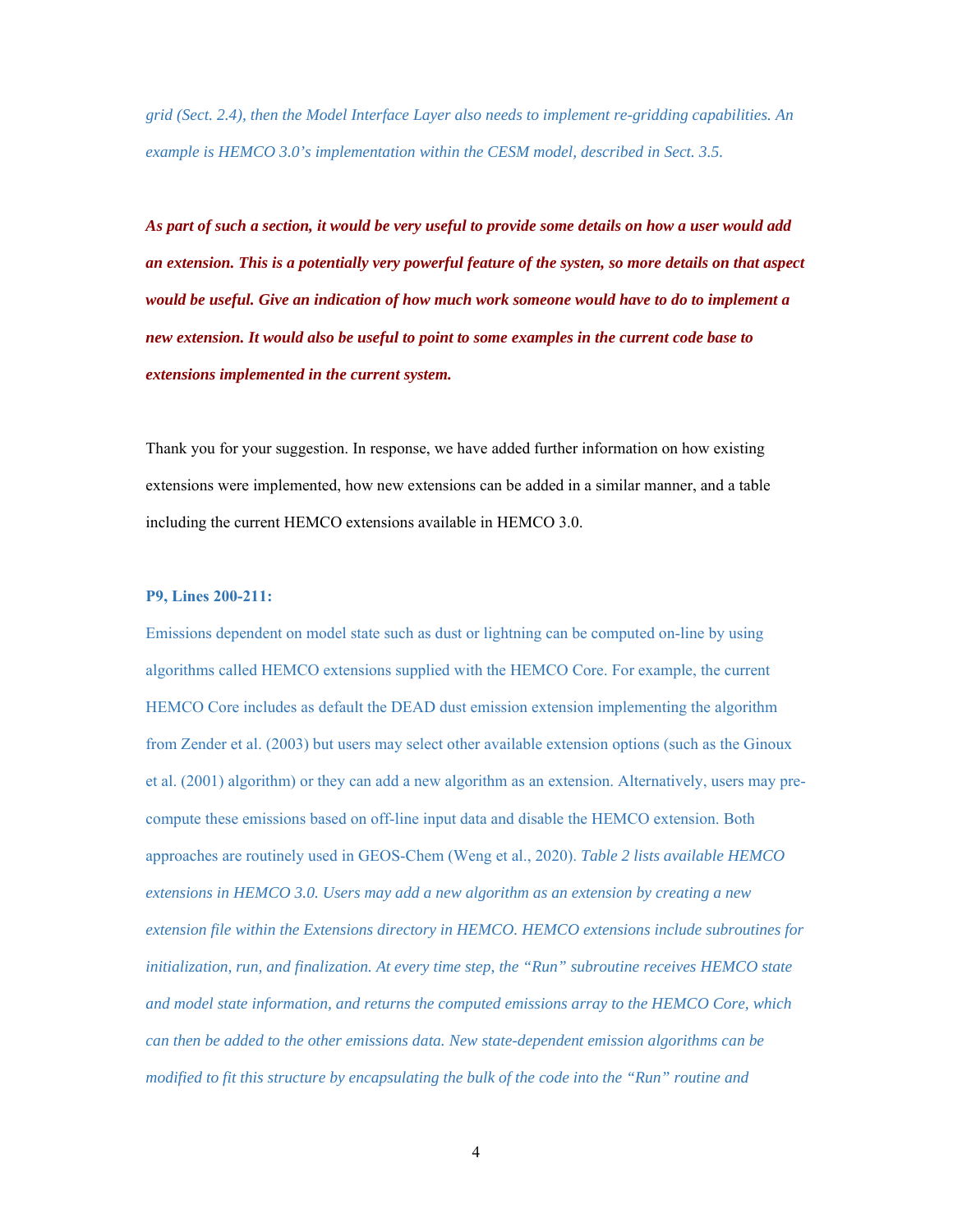*grid (Sect. 2.4), then the Model Interface Layer also needs to implement re-gridding capabilities. An example is HEMCO 3.0's implementation within the CESM model, described in Sect. 3.5.*

*As part of such a section, it would be very useful to provide some details on how a user would add an extension. This is a potentially very powerful feature of the systen, so more details on that aspect would be useful. Give an indication of how much work someone would have to do to implement a new extension. It would also be useful to point to some examples in the current code base to extensions implemented in the current system.* 

Thank you for your suggestion. In response, we have added further information on how existing extensions were implemented, how new extensions can be added in a similar manner, and a table including the current HEMCO extensions available in HEMCO 3.0.

## **P9, Lines 200-211:**

Emissions dependent on model state such as dust or lightning can be computed on-line by using algorithms called HEMCO extensions supplied with the HEMCO Core. For example, the current HEMCO Core includes as default the DEAD dust emission extension implementing the algorithm from Zender et al. (2003) but users may select other available extension options (such as the Ginoux et al. (2001) algorithm) or they can add a new algorithm as an extension. Alternatively, users may precompute these emissions based on off-line input data and disable the HEMCO extension. Both approaches are routinely used in GEOS-Chem (Weng et al., 2020). *Table 2 lists available HEMCO extensions in HEMCO 3.0. Users may add a new algorithm as an extension by creating a new extension file within the Extensions directory in HEMCO. HEMCO extensions include subroutines for initialization, run, and finalization. At every time step, the "Run" subroutine receives HEMCO state and model state information, and returns the computed emissions array to the HEMCO Core, which can then be added to the other emissions data. New state-dependent emission algorithms can be modified to fit this structure by encapsulating the bulk of the code into the "Run" routine and* 

4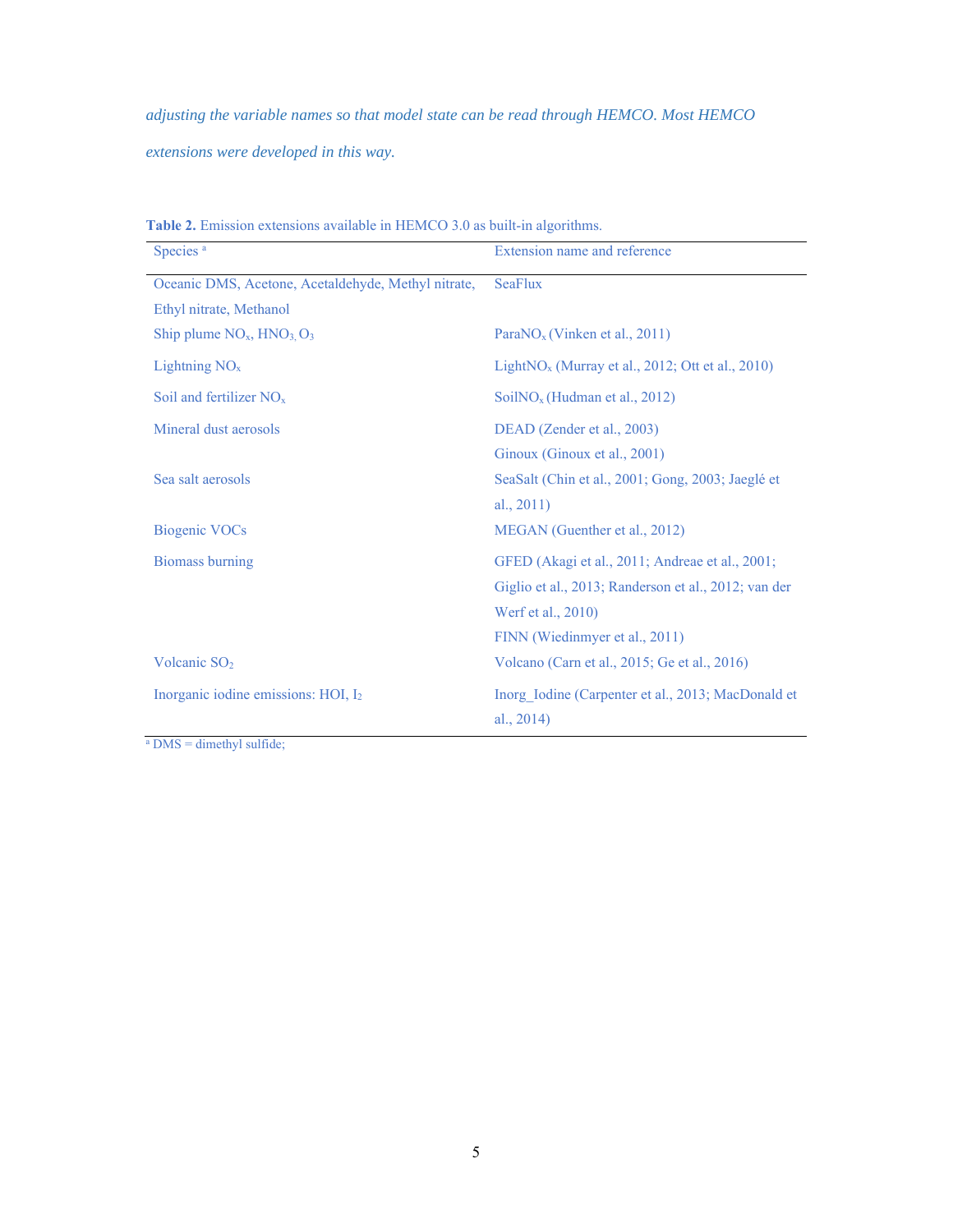*adjusting the variable names so that model state can be read through HEMCO. Most HEMCO extensions were developed in this way.*

| Species <sup>a</sup>                                | Extension name and reference                         |  |
|-----------------------------------------------------|------------------------------------------------------|--|
| Oceanic DMS, Acetone, Acetaldehyde, Methyl nitrate, | <b>SeaFlux</b>                                       |  |
| Ethyl nitrate, Methanol                             |                                                      |  |
| Ship plume $NO_x$ , $HNO_3$ , $O_3$                 | Para $NO_x$ (Vinken et al., 2011)                    |  |
| Lightning $NOx$                                     | Light $NO_x$ (Murray et al., 2012; Ott et al., 2010) |  |
| Soil and fertilizer $NOx$                           | $SoiINOx$ (Hudman et al., 2012)                      |  |
| Mineral dust aerosols                               | DEAD (Zender et al., 2003)                           |  |
|                                                     | Ginoux (Ginoux et al., 2001)                         |  |
| Sea salt aerosols                                   | SeaSalt (Chin et al., 2001; Gong, 2003; Jaeglé et    |  |
|                                                     | al., $2011$ )                                        |  |
| <b>Biogenic VOCs</b>                                | MEGAN (Guenther et al., 2012)                        |  |
| <b>Biomass burning</b>                              | GFED (Akagi et al., 2011; Andreae et al., 2001;      |  |
|                                                     | Giglio et al., 2013; Randerson et al., 2012; van der |  |
|                                                     | Werf et al., 2010)                                   |  |
|                                                     | FINN (Wiedinmyer et al., 2011)                       |  |
| Volcanic SO <sub>2</sub>                            | Volcano (Carn et al., 2015; Ge et al., 2016)         |  |
| Inorganic iodine emissions: HOI, I <sub>2</sub>     | Inorg Iodine (Carpenter et al., 2013; MacDonald et   |  |
|                                                     | al., $2014$ )                                        |  |

**Table 2.** Emission extensions available in HEMCO 3.0 as built-in algorithms.

a DMS = dimethyl sulfide;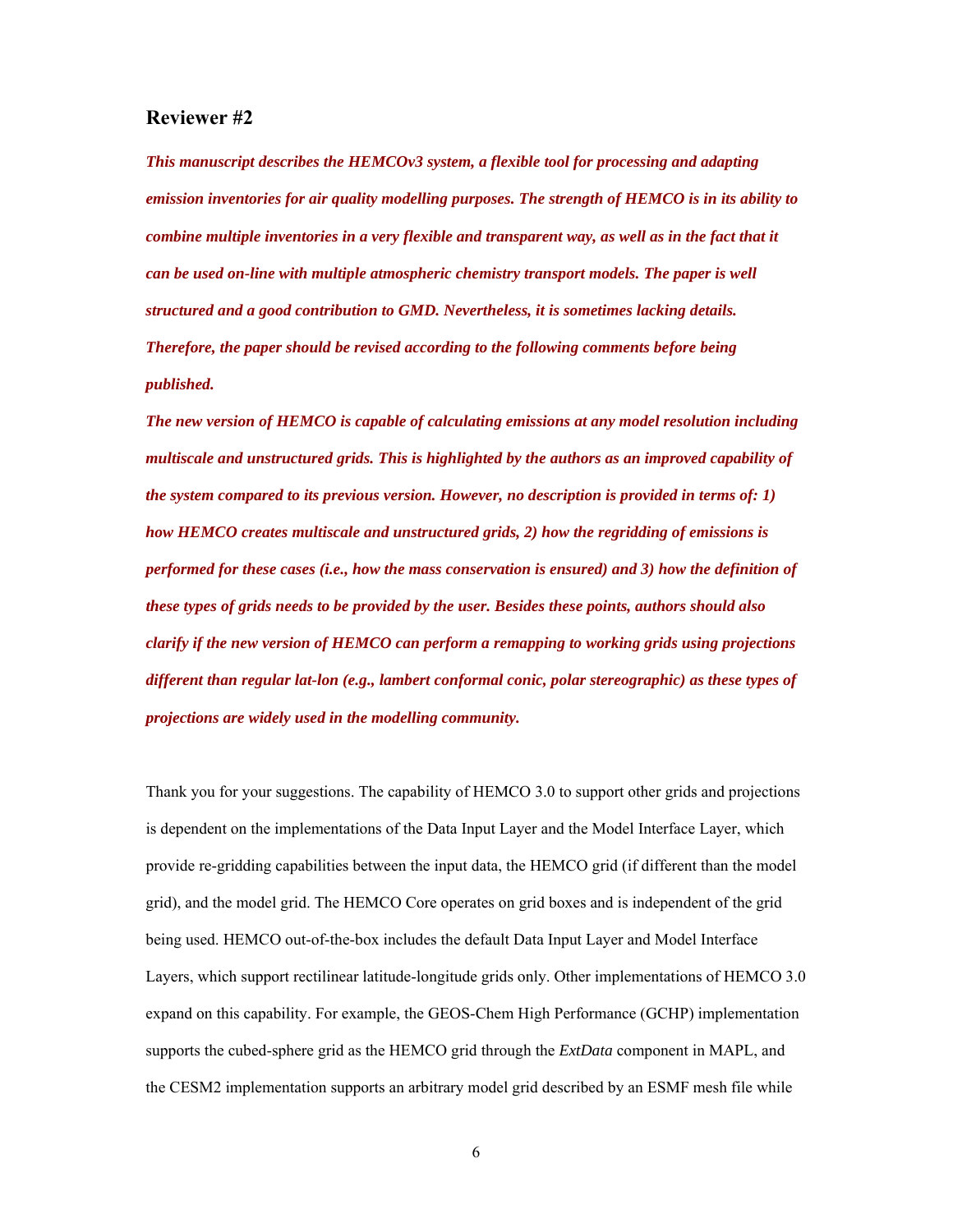# **Reviewer #2**

*This manuscript describes the HEMCOv3 system, a flexible tool for processing and adapting emission inventories for air quality modelling purposes. The strength of HEMCO is in its ability to combine multiple inventories in a very flexible and transparent way, as well as in the fact that it can be used on-line with multiple atmospheric chemistry transport models. The paper is well structured and a good contribution to GMD. Nevertheless, it is sometimes lacking details. Therefore, the paper should be revised according to the following comments before being published.* 

*The new version of HEMCO is capable of calculating emissions at any model resolution including multiscale and unstructured grids. This is highlighted by the authors as an improved capability of the system compared to its previous version. However, no description is provided in terms of: 1) how HEMCO creates multiscale and unstructured grids, 2) how the regridding of emissions is performed for these cases (i.e., how the mass conservation is ensured) and 3) how the definition of these types of grids needs to be provided by the user. Besides these points, authors should also clarify if the new version of HEMCO can perform a remapping to working grids using projections different than regular lat-lon (e.g., lambert conformal conic, polar stereographic) as these types of projections are widely used in the modelling community.* 

Thank you for your suggestions. The capability of HEMCO 3.0 to support other grids and projections is dependent on the implementations of the Data Input Layer and the Model Interface Layer, which provide re-gridding capabilities between the input data, the HEMCO grid (if different than the model grid), and the model grid. The HEMCO Core operates on grid boxes and is independent of the grid being used. HEMCO out-of-the-box includes the default Data Input Layer and Model Interface Layers, which support rectilinear latitude-longitude grids only. Other implementations of HEMCO 3.0 expand on this capability. For example, the GEOS-Chem High Performance (GCHP) implementation supports the cubed-sphere grid as the HEMCO grid through the *ExtData* component in MAPL, and the CESM2 implementation supports an arbitrary model grid described by an ESMF mesh file while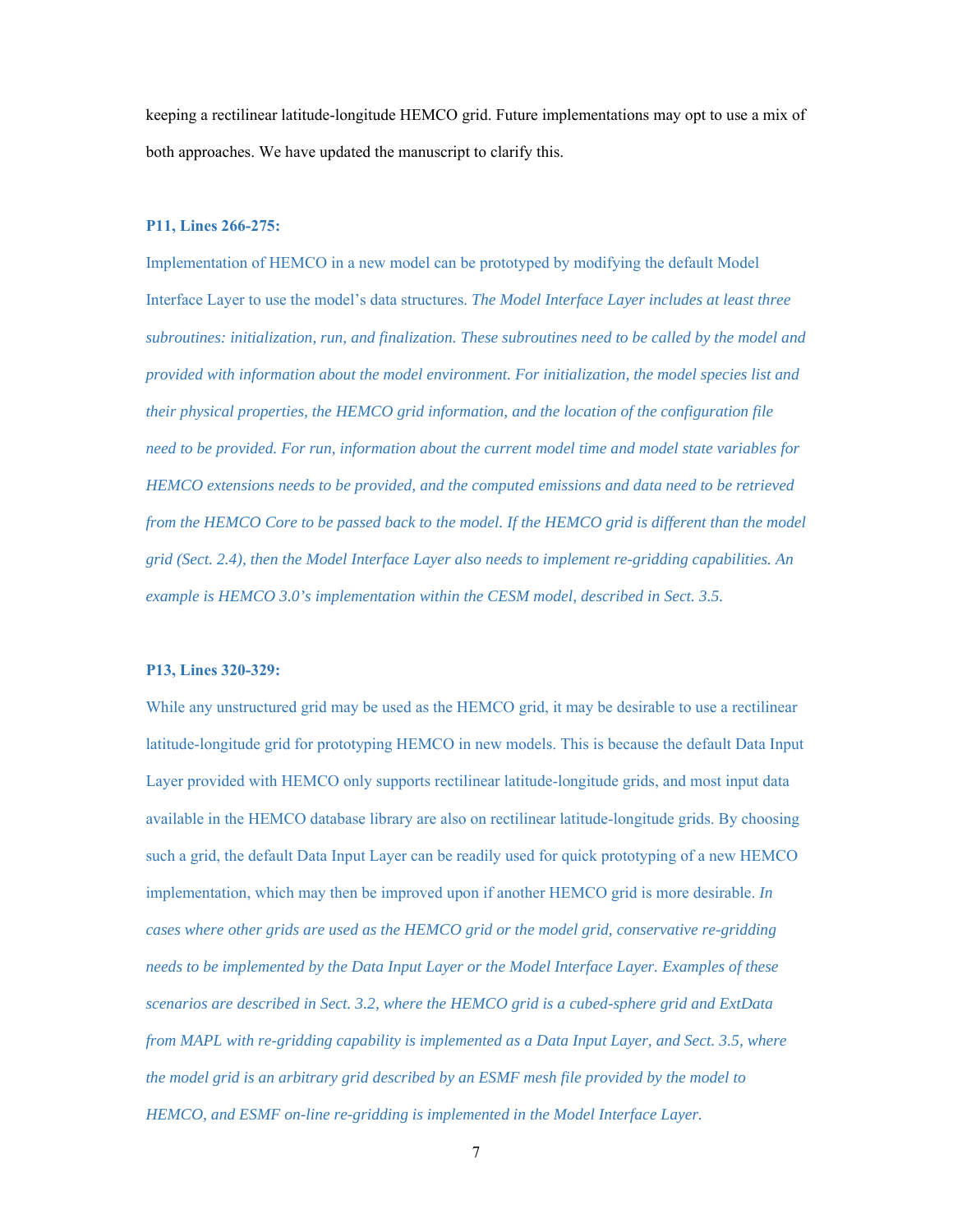keeping a rectilinear latitude-longitude HEMCO grid. Future implementations may opt to use a mix of both approaches. We have updated the manuscript to clarify this.

#### **P11, Lines 266-275:**

Implementation of HEMCO in a new model can be prototyped by modifying the default Model Interface Layer to use the model's data structures. *The Model Interface Layer includes at least three subroutines: initialization, run, and finalization. These subroutines need to be called by the model and provided with information about the model environment. For initialization, the model species list and their physical properties, the HEMCO grid information, and the location of the configuration file need to be provided. For run, information about the current model time and model state variables for HEMCO extensions needs to be provided, and the computed emissions and data need to be retrieved from the HEMCO Core to be passed back to the model. If the HEMCO grid is different than the model grid (Sect. 2.4), then the Model Interface Layer also needs to implement re-gridding capabilities. An example is HEMCO 3.0's implementation within the CESM model, described in Sect. 3.5.*

## **P13, Lines 320-329:**

While any unstructured grid may be used as the HEMCO grid, it may be desirable to use a rectilinear latitude-longitude grid for prototyping HEMCO in new models. This is because the default Data Input Layer provided with HEMCO only supports rectilinear latitude-longitude grids, and most input data available in the HEMCO database library are also on rectilinear latitude-longitude grids. By choosing such a grid, the default Data Input Layer can be readily used for quick prototyping of a new HEMCO implementation, which may then be improved upon if another HEMCO grid is more desirable. *In cases where other grids are used as the HEMCO grid or the model grid, conservative re-gridding needs to be implemented by the Data Input Layer or the Model Interface Layer. Examples of these scenarios are described in Sect. 3.2, where the HEMCO grid is a cubed-sphere grid and ExtData from MAPL with re-gridding capability is implemented as a Data Input Layer, and Sect. 3.5, where the model grid is an arbitrary grid described by an ESMF mesh file provided by the model to HEMCO, and ESMF on-line re-gridding is implemented in the Model Interface Layer.*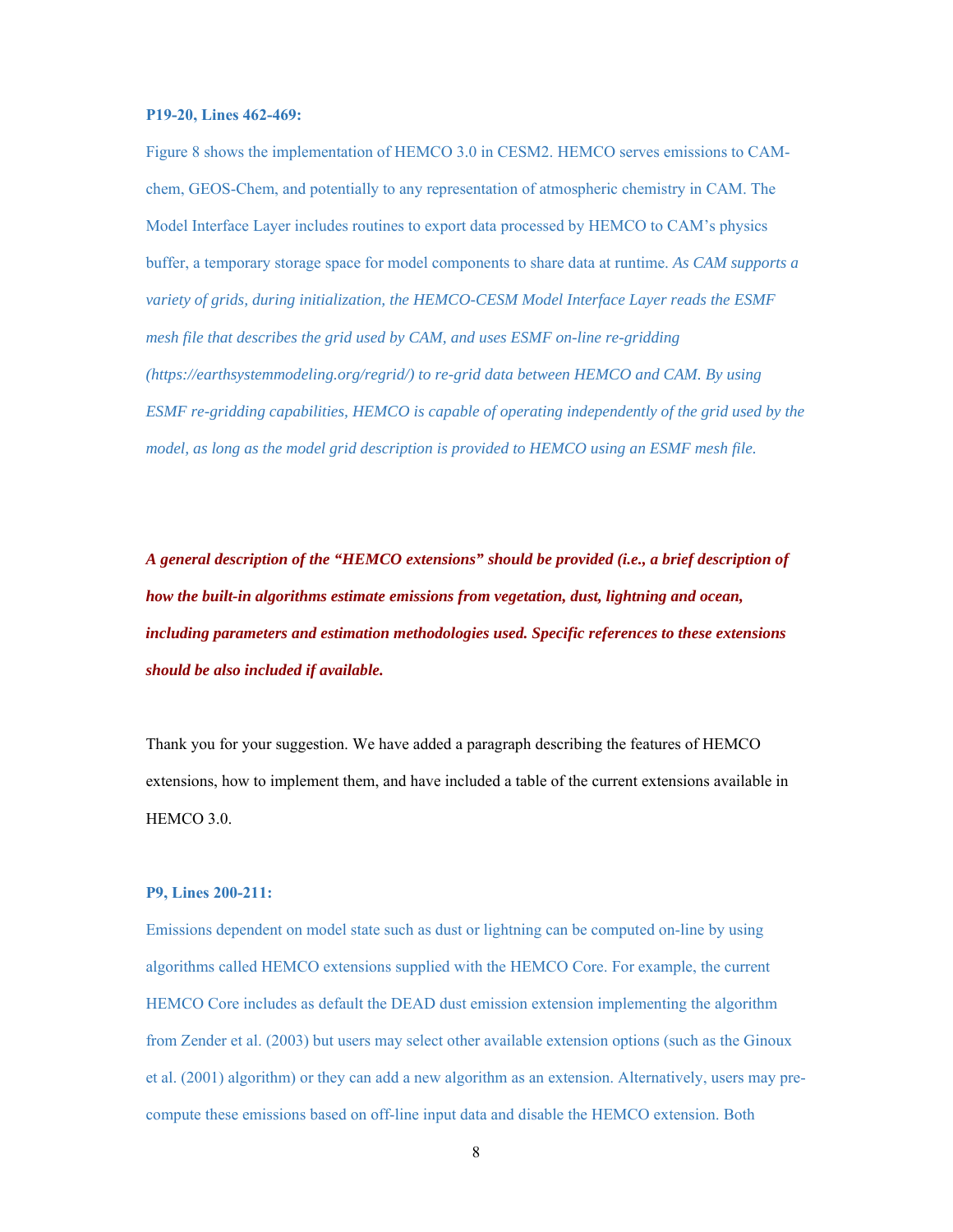#### **P19-20, Lines 462-469:**

Figure 8 shows the implementation of HEMCO 3.0 in CESM2. HEMCO serves emissions to CAMchem, GEOS-Chem, and potentially to any representation of atmospheric chemistry in CAM. The Model Interface Layer includes routines to export data processed by HEMCO to CAM's physics buffer, a temporary storage space for model components to share data at runtime. *As CAM supports a variety of grids, during initialization, the HEMCO-CESM Model Interface Layer reads the ESMF mesh file that describes the grid used by CAM, and uses ESMF on-line re-gridding (https://earthsystemmodeling.org/regrid/) to re-grid data between HEMCO and CAM. By using ESMF re-gridding capabilities, HEMCO is capable of operating independently of the grid used by the model, as long as the model grid description is provided to HEMCO using an ESMF mesh file.*

*A general description of the "HEMCO extensions" should be provided (i.e., a brief description of how the built-in algorithms estimate emissions from vegetation, dust, lightning and ocean, including parameters and estimation methodologies used. Specific references to these extensions should be also included if available.* 

Thank you for your suggestion. We have added a paragraph describing the features of HEMCO extensions, how to implement them, and have included a table of the current extensions available in HEMCO 3.0.

### **P9, Lines 200-211:**

Emissions dependent on model state such as dust or lightning can be computed on-line by using algorithms called HEMCO extensions supplied with the HEMCO Core. For example, the current HEMCO Core includes as default the DEAD dust emission extension implementing the algorithm from Zender et al. (2003) but users may select other available extension options (such as the Ginoux et al. (2001) algorithm) or they can add a new algorithm as an extension. Alternatively, users may precompute these emissions based on off-line input data and disable the HEMCO extension. Both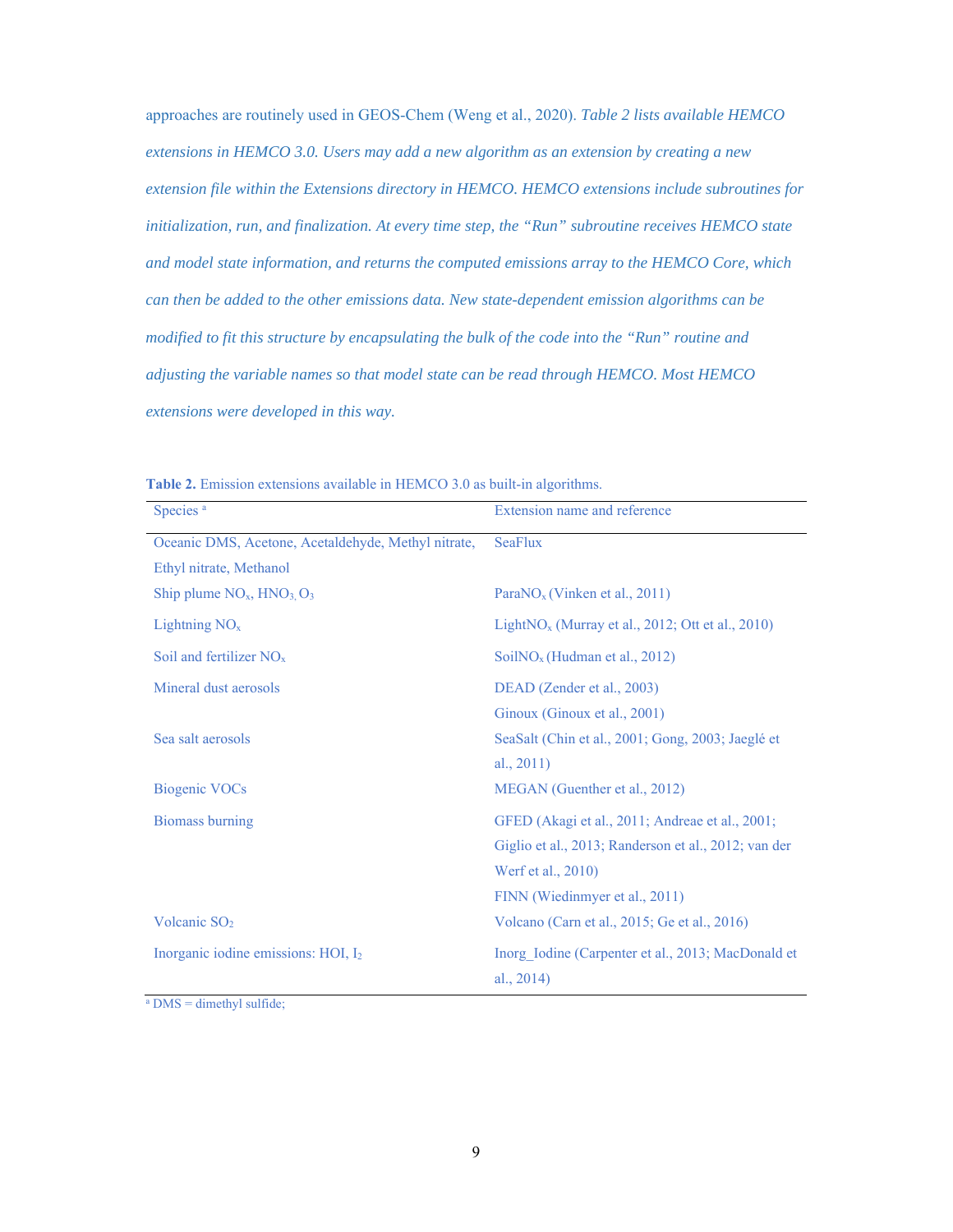approaches are routinely used in GEOS-Chem (Weng et al., 2020). *Table 2 lists available HEMCO extensions in HEMCO 3.0. Users may add a new algorithm as an extension by creating a new extension file within the Extensions directory in HEMCO. HEMCO extensions include subroutines for initialization, run, and finalization. At every time step, the "Run" subroutine receives HEMCO state and model state information, and returns the computed emissions array to the HEMCO Core, which can then be added to the other emissions data. New state-dependent emission algorithms can be modified to fit this structure by encapsulating the bulk of the code into the "Run" routine and adjusting the variable names so that model state can be read through HEMCO. Most HEMCO extensions were developed in this way.*

| Species <sup>a</sup>                                | Extension name and reference                         |  |
|-----------------------------------------------------|------------------------------------------------------|--|
| Oceanic DMS, Acetone, Acetaldehyde, Methyl nitrate, | <b>SeaFlux</b>                                       |  |
| Ethyl nitrate, Methanol                             |                                                      |  |
| Ship plume $NO_x$ , $HNO_3$ , $O_3$                 | Para $NO_x$ (Vinken et al., 2011)                    |  |
| Lightning $NOx$                                     | Light $NO_x$ (Murray et al., 2012; Ott et al., 2010) |  |
| Soil and fertilizer $NOx$                           | $SoiINOx$ (Hudman et al., 2012)                      |  |
| Mineral dust aerosols                               | DEAD (Zender et al., 2003)                           |  |
|                                                     | Ginoux (Ginoux et al., 2001)                         |  |
| Sea salt aerosols                                   | SeaSalt (Chin et al., 2001; Gong, 2003; Jaeglé et    |  |
|                                                     | al., $2011$ )                                        |  |
| <b>Biogenic VOCs</b>                                | MEGAN (Guenther et al., 2012)                        |  |
| <b>Biomass burning</b>                              | GFED (Akagi et al., 2011; Andreae et al., 2001;      |  |
|                                                     | Giglio et al., 2013; Randerson et al., 2012; van der |  |
|                                                     | Werf et al., 2010)                                   |  |
|                                                     | FINN (Wiedinmyer et al., 2011)                       |  |
| Volcanic SO <sub>2</sub>                            | Volcano (Carn et al., 2015; Ge et al., 2016)         |  |
| Inorganic iodine emissions: HOI, I2                 | Inorg Iodine (Carpenter et al., 2013; MacDonald et   |  |
|                                                     | al., $2014$ )                                        |  |

**Table 2.** Emission extensions available in HEMCO 3.0 as built-in algorithms.

a DMS = dimethyl sulfide;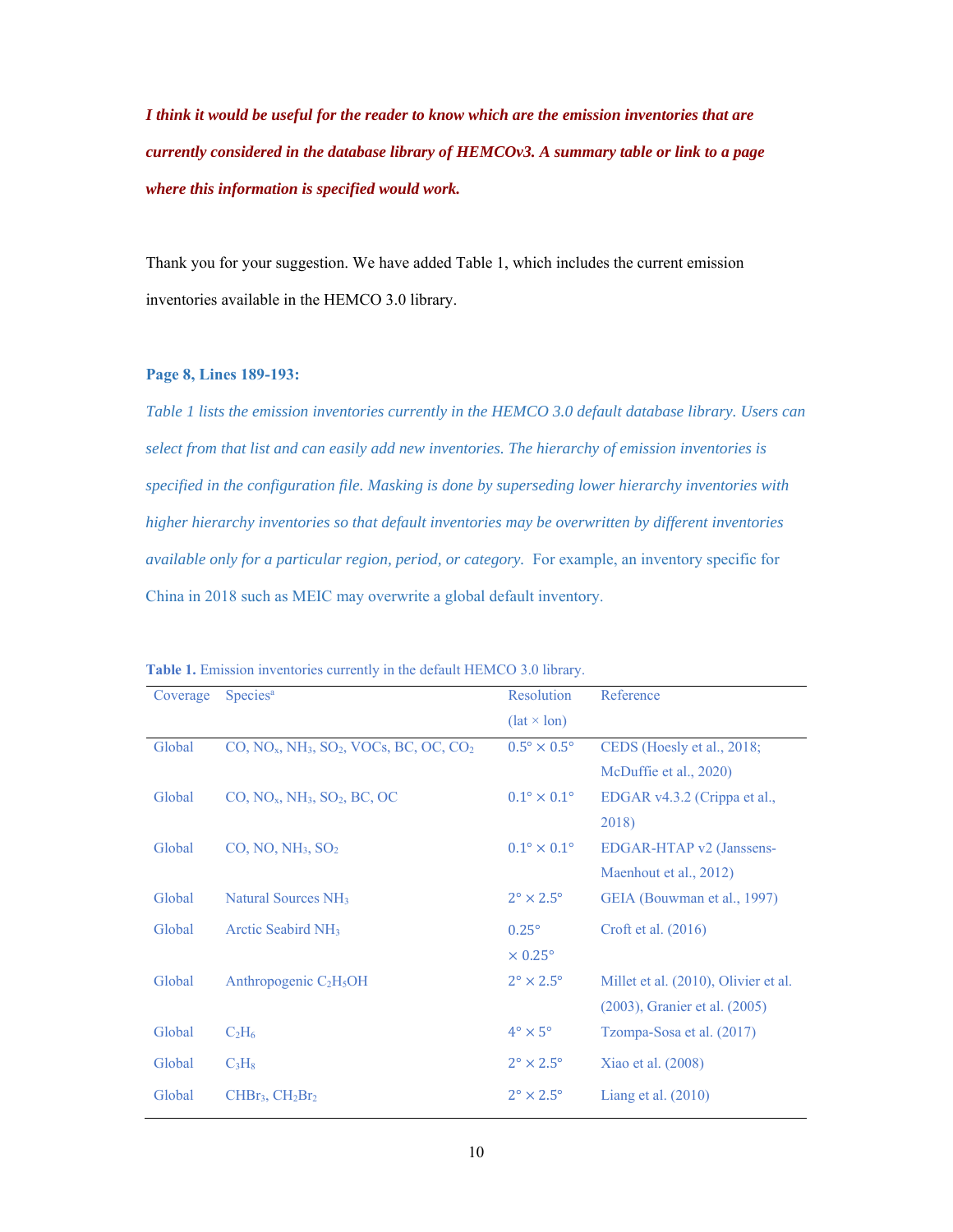*I think it would be useful for the reader to know which are the emission inventories that are currently considered in the database library of HEMCOv3. A summary table or link to a page where this information is specified would work.* 

Thank you for your suggestion. We have added Table 1, which includes the current emission inventories available in the HEMCO 3.0 library.

### **Page 8, Lines 189-193:**

*Table 1 lists the emission inventories currently in the HEMCO 3.0 default database library. Users can select from that list and can easily add new inventories. The hierarchy of emission inventories is specified in the configuration file. Masking is done by superseding lower hierarchy inventories with higher hierarchy inventories so that default inventories may be overwritten by different inventories available only for a particular region, period, or category.* For example, an inventory specific for China in 2018 such as MEIC may overwrite a global default inventory.

| Coverage | Species <sup>a</sup>                       | Resolution                       | Reference                            |
|----------|--------------------------------------------|----------------------------------|--------------------------------------|
|          |                                            | $(\text{lat} \times \text{lon})$ |                                      |
| Global   | $CO, NO_x, NH_3, SO_2, VOCs, BC, OC, CO_2$ | $0.5^{\circ} \times 0.5^{\circ}$ | CEDS (Hoesly et al., 2018;           |
|          |                                            |                                  | McDuffie et al., 2020)               |
| Global   | $CO, NO_x, NH_3, SO_2, BC, OC$             | $0.1^{\circ} \times 0.1^{\circ}$ | EDGAR v4.3.2 (Crippa et al.,         |
|          |                                            |                                  | 2018)                                |
| Global   | $CO$ , NO, NH <sub>3</sub> , $SO2$         | $0.1^{\circ} \times 0.1^{\circ}$ | EDGAR-HTAP v2 (Janssens-             |
|          |                                            |                                  | Maenhout et al., 2012)               |
| Global   | Natural Sources NH <sub>3</sub>            | $2^{\circ} \times 2.5^{\circ}$   | GEIA (Bouwman et al., 1997)          |
| Global   | Arctic Seabird NH <sub>3</sub>             | $0.25^\circ$                     | Croft et al. $(2016)$                |
|          |                                            | $\times$ 0.25 $^{\circ}$         |                                      |
| Global   | Anthropogenic $C_2H_5OH$                   | $2^{\circ} \times 2.5^{\circ}$   | Millet et al. (2010), Olivier et al. |
|          |                                            |                                  | $(2003)$ , Granier et al. $(2005)$   |
| Global   | $C_2H_6$                                   | $4^\circ \times 5^\circ$         | Tzompa-Sosa et al. (2017)            |
| Global   | $C_3H_8$                                   | $2^{\circ} \times 2.5^{\circ}$   | Xiao et al. (2008)                   |
| Global   | $CHBr3, CH2Br2$                            | $2^{\circ} \times 2.5^{\circ}$   | Liang et al. $(2010)$                |

**Table 1.** Emission inventories currently in the default HEMCO 3.0 library.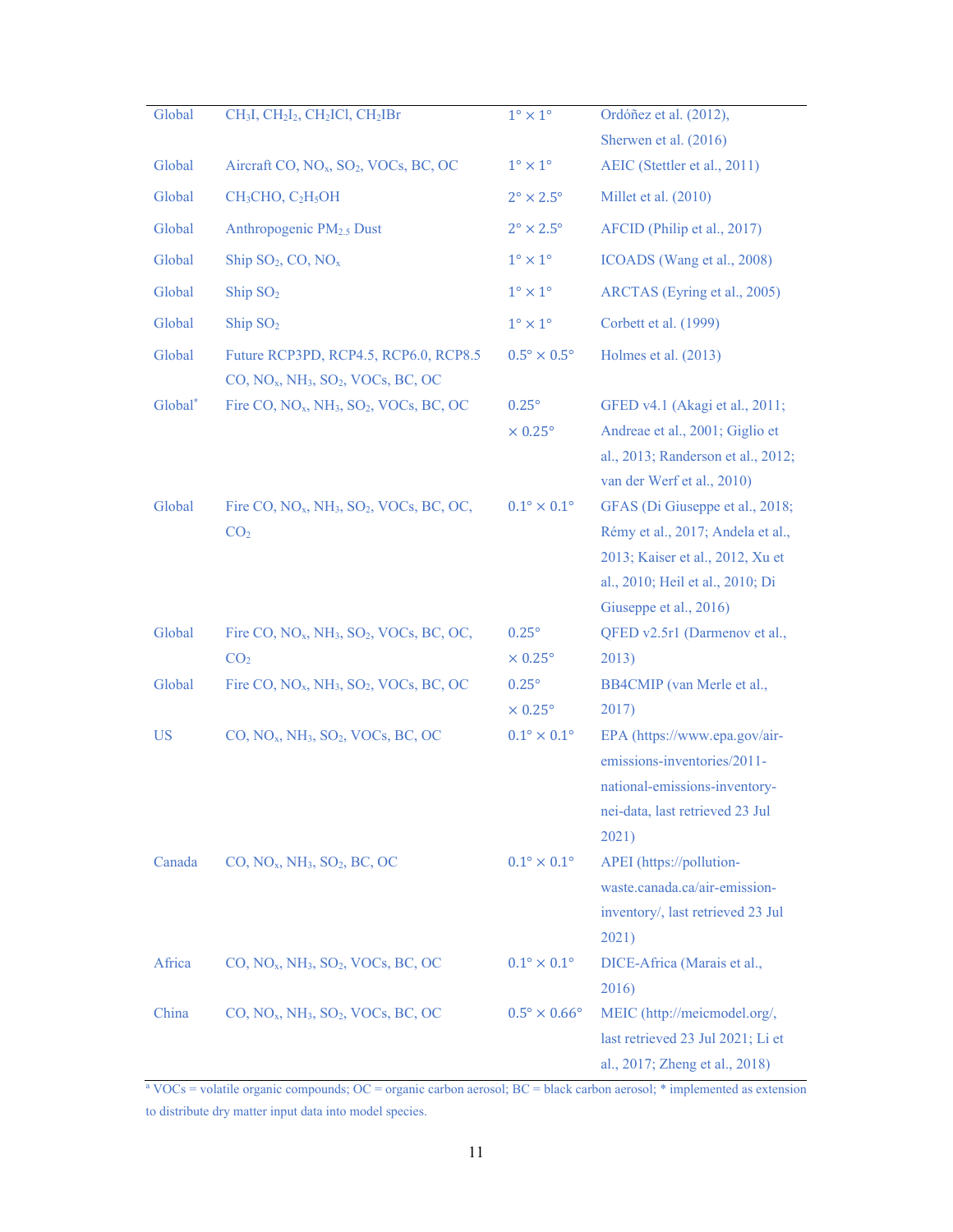| Global    | CH <sub>3</sub> I, CH <sub>2</sub> I <sub>2</sub> , CH <sub>2</sub> ICl, CH <sub>2</sub> IBr | $1^\circ \times 1^\circ$            | Ordóñez et al. (2012),                                                                                                                                                 |
|-----------|----------------------------------------------------------------------------------------------|-------------------------------------|------------------------------------------------------------------------------------------------------------------------------------------------------------------------|
|           |                                                                                              |                                     | Sherwen et al. (2016)                                                                                                                                                  |
| Global    | Aircraft CO, NO <sub>x</sub> , SO <sub>2</sub> , VOCs, BC, OC                                | $1^{\circ} \times 1^{\circ}$        | AEIC (Stettler et al., 2011)                                                                                                                                           |
| Global    | $CH3CHO, C2H5OH$                                                                             | $2^{\circ} \times 2.5^{\circ}$      | Millet et al. (2010)                                                                                                                                                   |
| Global    | Anthropogenic PM <sub>2.5</sub> Dust                                                         | $2^{\circ} \times 2.5^{\circ}$      | AFCID (Philip et al., 2017)                                                                                                                                            |
| Global    | Ship $SO_2$ , CO, NO <sub>x</sub>                                                            | $1^{\circ} \times 1^{\circ}$        | ICOADS (Wang et al., 2008)                                                                                                                                             |
| Global    | Ship $SO2$                                                                                   | $1^{\circ} \times 1^{\circ}$        | ARCTAS (Eyring et al., 2005)                                                                                                                                           |
| Global    | $\mathrm{Ship}$ $\mathrm{SO}_2$                                                              | $1^{\circ} \times 1^{\circ}$        | Corbett et al. (1999)                                                                                                                                                  |
| Global    | Future RCP3PD, RCP4.5, RCP6.0, RCP8.5<br>$CO, NO_x, NH_3, SO_2, VOCs, BC, OC$                | $0.5^{\circ} \times 0.5^{\circ}$    | Holmes et al. (2013)                                                                                                                                                   |
| Global*   | Fire CO, NO <sub>x</sub> , NH <sub>3</sub> , SO <sub>2</sub> , VOCs, BC, OC                  | $0.25^\circ$<br>$\times 0.25^\circ$ | GFED v4.1 (Akagi et al., 2011;<br>Andreae et al., 2001; Giglio et<br>al., 2013; Randerson et al., 2012;<br>van der Werf et al., 2010)                                  |
| Global    | Fire CO, $NOx$ , $NH3$ , $SO2$ , VOCs, BC, OC,<br>CO <sub>2</sub>                            | $0.1^{\circ}\times0.1^{\circ}$      | GFAS (Di Giuseppe et al., 2018;<br>Rémy et al., 2017; Andela et al.,<br>2013; Kaiser et al., 2012, Xu et<br>al., 2010; Heil et al., 2010; Di<br>Giuseppe et al., 2016) |
| Global    | Fire CO, $NO_x$ , $NH_3$ , $SO_2$ , VOCs, BC, OC,                                            | $0.25^\circ$                        | QFED v2.5r1 (Darmenov et al.,                                                                                                                                          |
|           | CO <sub>2</sub>                                                                              | $\times 0.25^\circ$                 | 2013)                                                                                                                                                                  |
| Global    | Fire CO, $NOx$ , $NH3$ , $SO2$ , VOCs, BC, OC                                                | $0.25^\circ$<br>$\times 0.25^\circ$ | BB4CMIP (van Merle et al.,<br>2017)                                                                                                                                    |
| <b>US</b> | CO, NO <sub>x</sub> , NH <sub>3</sub> , SO <sub>2</sub> , VOCs, BC, OC                       | $0.1^{\circ}\times0.1^{\circ}$      | EPA (https://www.epa.gov/air-<br>emissions-inventories/2011-<br>national-emissions-inventory-<br>nei-data, last retrieved 23 Jul<br>2021)                              |
| Canada    | CO, NO <sub>x</sub> , NH <sub>3</sub> , SO <sub>2</sub> , BC, OC                             | $0.1^{\circ} \times 0.1^{\circ}$    | APEI (https://pollution-<br>waste.canada.ca/air-emission-<br>inventory/, last retrieved 23 Jul<br>2021)                                                                |
| Africa    | $CO, NO_x, NH_3, SO_2, VOCs, BC, OC$                                                         | $0.1^{\circ} \times 0.1^{\circ}$    | DICE-Africa (Marais et al.,<br>2016)                                                                                                                                   |
| China     | CO, NO <sub>x</sub> , NH <sub>3</sub> , SO <sub>2</sub> , VOCs, BC, OC                       | $0.5^\circ \times 0.66^\circ$       | MEIC (http://meicmodel.org/,<br>last retrieved 23 Jul 2021; Li et<br>al., 2017; Zheng et al., 2018)                                                                    |

<sup>a</sup> VOCs = volatile organic compounds; OC = organic carbon aerosol; BC = black carbon aerosol; \* implemented as extension to distribute dry matter input data into model species.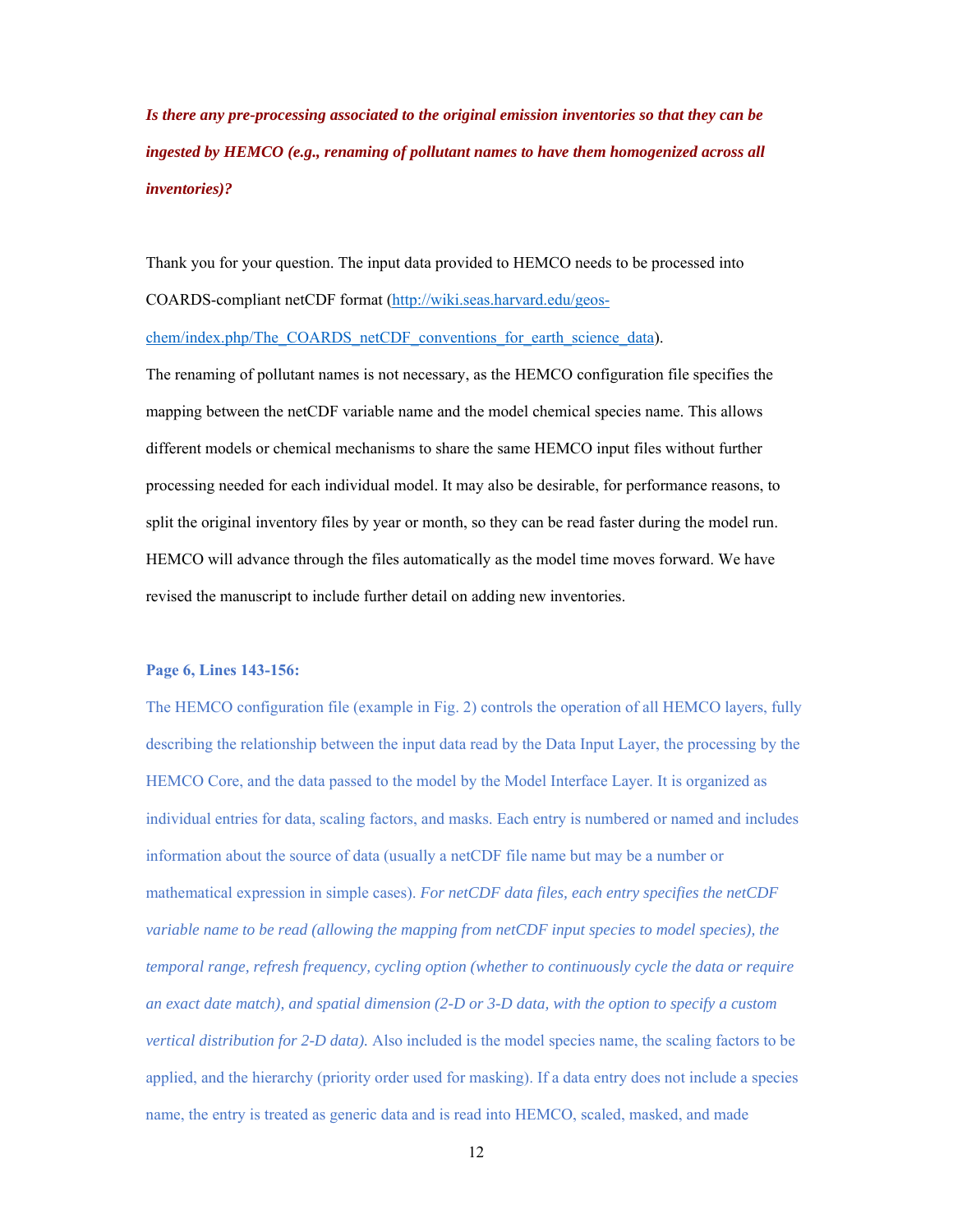*Is there any pre-processing associated to the original emission inventories so that they can be ingested by HEMCO (e.g., renaming of pollutant names to have them homogenized across all inventories)?* 

Thank you for your question. The input data provided to HEMCO needs to be processed into COARDS-compliant netCDF format (http://wiki.seas.harvard.edu/geoschem/index.php/The\_COARDS\_netCDF\_conventions\_for\_earth\_science\_data).

The renaming of pollutant names is not necessary, as the HEMCO configuration file specifies the mapping between the netCDF variable name and the model chemical species name. This allows different models or chemical mechanisms to share the same HEMCO input files without further processing needed for each individual model. It may also be desirable, for performance reasons, to split the original inventory files by year or month, so they can be read faster during the model run. HEMCO will advance through the files automatically as the model time moves forward. We have revised the manuscript to include further detail on adding new inventories.

## **Page 6, Lines 143-156:**

The HEMCO configuration file (example in Fig. 2) controls the operation of all HEMCO layers, fully describing the relationship between the input data read by the Data Input Layer, the processing by the HEMCO Core, and the data passed to the model by the Model Interface Layer. It is organized as individual entries for data, scaling factors, and masks. Each entry is numbered or named and includes information about the source of data (usually a netCDF file name but may be a number or mathematical expression in simple cases). *For netCDF data files, each entry specifies the netCDF variable name to be read (allowing the mapping from netCDF input species to model species), the temporal range, refresh frequency, cycling option (whether to continuously cycle the data or require an exact date match), and spatial dimension (2-D or 3-D data, with the option to specify a custom vertical distribution for 2-D data).* Also included is the model species name, the scaling factors to be applied, and the hierarchy (priority order used for masking). If a data entry does not include a species name, the entry is treated as generic data and is read into HEMCO, scaled, masked, and made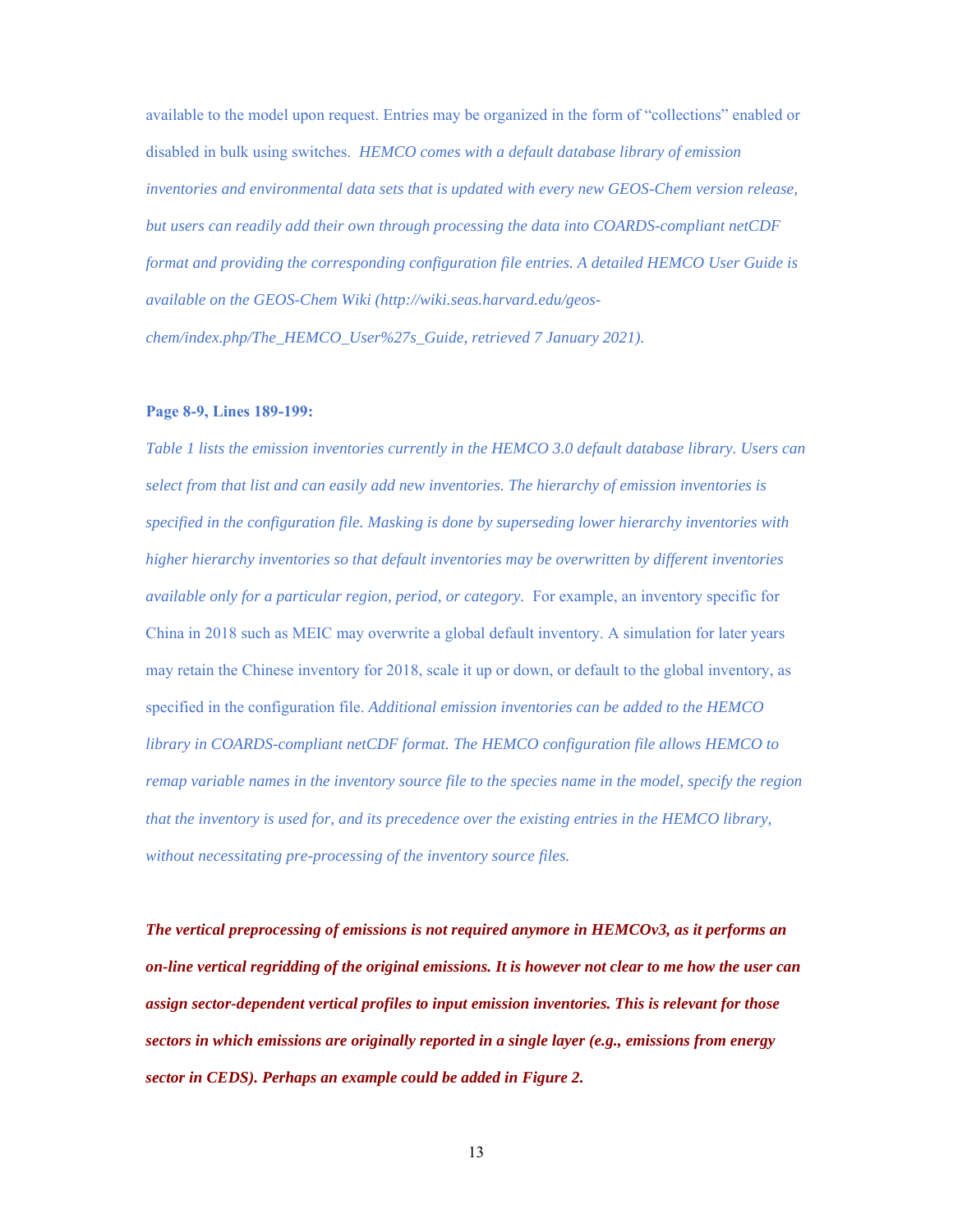available to the model upon request. Entries may be organized in the form of "collections" enabled or disabled in bulk using switches. *HEMCO comes with a default database library of emission inventories and environmental data sets that is updated with every new GEOS-Chem version release, but users can readily add their own through processing the data into COARDS-compliant netCDF format and providing the corresponding configuration file entries. A detailed HEMCO User Guide is available on the GEOS-Chem Wiki (http://wiki.seas.harvard.edu/geoschem/index.php/The\_HEMCO\_User%27s\_Guide, retrieved 7 January 2021).* 

## **Page 8-9, Lines 189-199:**

*Table 1 lists the emission inventories currently in the HEMCO 3.0 default database library. Users can select from that list and can easily add new inventories. The hierarchy of emission inventories is specified in the configuration file. Masking is done by superseding lower hierarchy inventories with higher hierarchy inventories so that default inventories may be overwritten by different inventories available only for a particular region, period, or category.* For example, an inventory specific for China in 2018 such as MEIC may overwrite a global default inventory. A simulation for later years may retain the Chinese inventory for 2018, scale it up or down, or default to the global inventory, as specified in the configuration file. *Additional emission inventories can be added to the HEMCO library in COARDS-compliant netCDF format. The HEMCO configuration file allows HEMCO to remap variable names in the inventory source file to the species name in the model, specify the region that the inventory is used for, and its precedence over the existing entries in the HEMCO library, without necessitating pre-processing of the inventory source files.*

*The vertical preprocessing of emissions is not required anymore in HEMCOv3, as it performs an on-line vertical regridding of the original emissions. It is however not clear to me how the user can assign sector-dependent vertical profiles to input emission inventories. This is relevant for those sectors in which emissions are originally reported in a single layer (e.g., emissions from energy sector in CEDS). Perhaps an example could be added in Figure 2.* 

13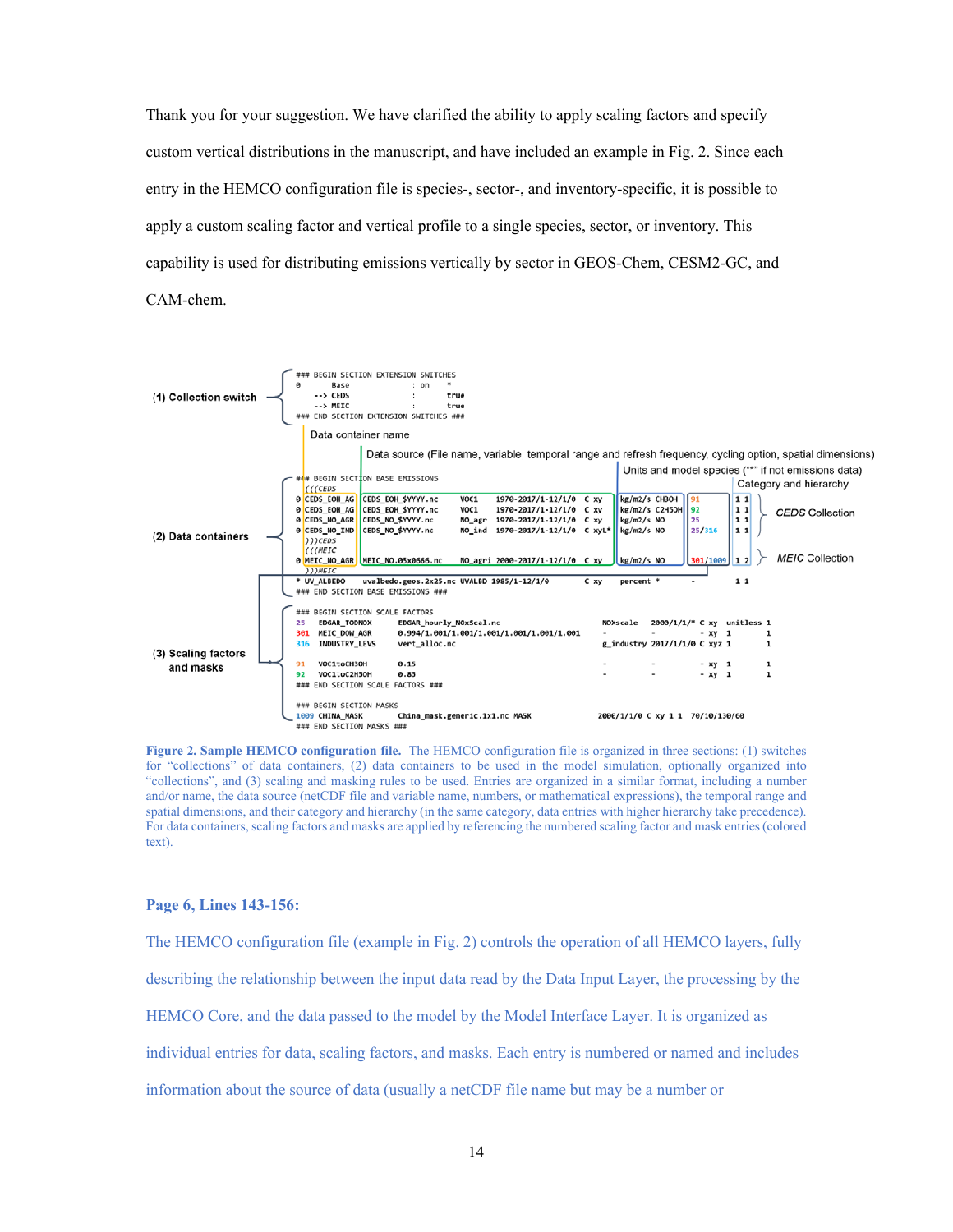Thank you for your suggestion. We have clarified the ability to apply scaling factors and specify custom vertical distributions in the manuscript, and have included an example in Fig. 2. Since each entry in the HEMCO configuration file is species-, sector-, and inventory-specific, it is possible to apply a custom scaling factor and vertical profile to a single species, sector, or inventory. This capability is used for distributing emissions vertically by sector in GEOS-Chem, CESM2-GC, and CAM-chem.



**Figure 2. Sample HEMCO configuration file.** The HEMCO configuration file is organized in three sections: (1) switches for "collections" of data containers, (2) data containers to be used in the model simulation, optionally organized into "collections", and (3) scaling and masking rules to be used. Entries are organized in a similar format, including a number and/or name, the data source (netCDF file and variable name, numbers, or mathematical expressions), the temporal range and spatial dimensions, and their category and hierarchy (in the same category, data entries with higher hierarchy take precedence). For data containers, scaling factors and masks are applied by referencing the numbered scaling factor and mask entries (colored text).

#### **Page 6, Lines 143-156:**

The HEMCO configuration file (example in Fig. 2) controls the operation of all HEMCO layers, fully describing the relationship between the input data read by the Data Input Layer, the processing by the HEMCO Core, and the data passed to the model by the Model Interface Layer. It is organized as individual entries for data, scaling factors, and masks. Each entry is numbered or named and includes information about the source of data (usually a netCDF file name but may be a number or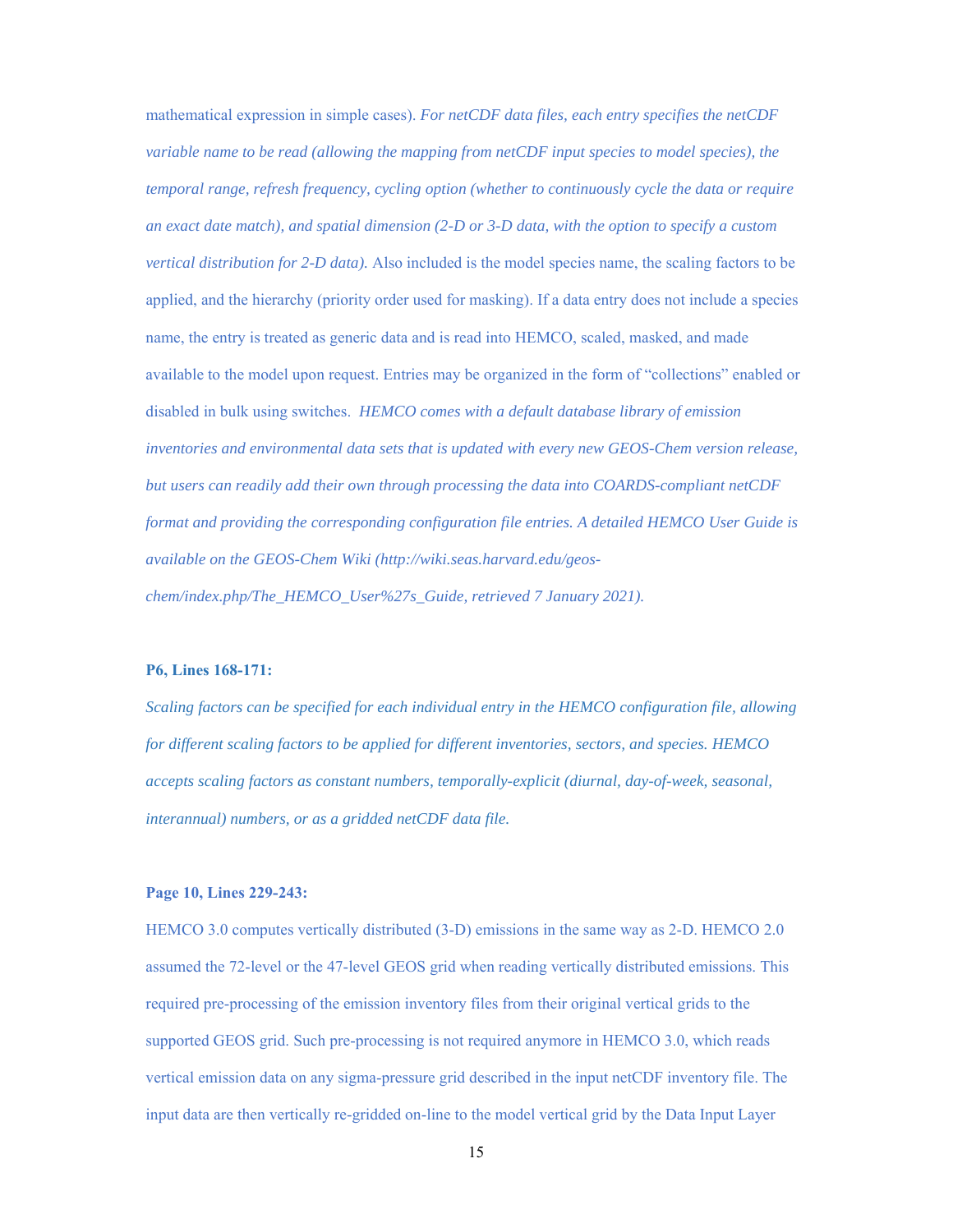mathematical expression in simple cases). *For netCDF data files, each entry specifies the netCDF variable name to be read (allowing the mapping from netCDF input species to model species), the temporal range, refresh frequency, cycling option (whether to continuously cycle the data or require an exact date match), and spatial dimension (2-D or 3-D data, with the option to specify a custom vertical distribution for 2-D data).* Also included is the model species name, the scaling factors to be applied, and the hierarchy (priority order used for masking). If a data entry does not include a species name, the entry is treated as generic data and is read into HEMCO, scaled, masked, and made available to the model upon request. Entries may be organized in the form of "collections" enabled or disabled in bulk using switches. *HEMCO comes with a default database library of emission inventories and environmental data sets that is updated with every new GEOS-Chem version release, but users can readily add their own through processing the data into COARDS-compliant netCDF format and providing the corresponding configuration file entries. A detailed HEMCO User Guide is available on the GEOS-Chem Wiki (http://wiki.seas.harvard.edu/geoschem/index.php/The\_HEMCO\_User%27s\_Guide, retrieved 7 January 2021).* 

## **P6, Lines 168-171:**

*Scaling factors can be specified for each individual entry in the HEMCO configuration file, allowing for different scaling factors to be applied for different inventories, sectors, and species. HEMCO accepts scaling factors as constant numbers, temporally-explicit (diurnal, day-of-week, seasonal, interannual) numbers, or as a gridded netCDF data file.* 

### **Page 10, Lines 229-243:**

HEMCO 3.0 computes vertically distributed (3-D) emissions in the same way as 2-D. HEMCO 2.0 assumed the 72-level or the 47-level GEOS grid when reading vertically distributed emissions. This required pre-processing of the emission inventory files from their original vertical grids to the supported GEOS grid. Such pre-processing is not required anymore in HEMCO 3.0, which reads vertical emission data on any sigma-pressure grid described in the input netCDF inventory file. The input data are then vertically re-gridded on-line to the model vertical grid by the Data Input Layer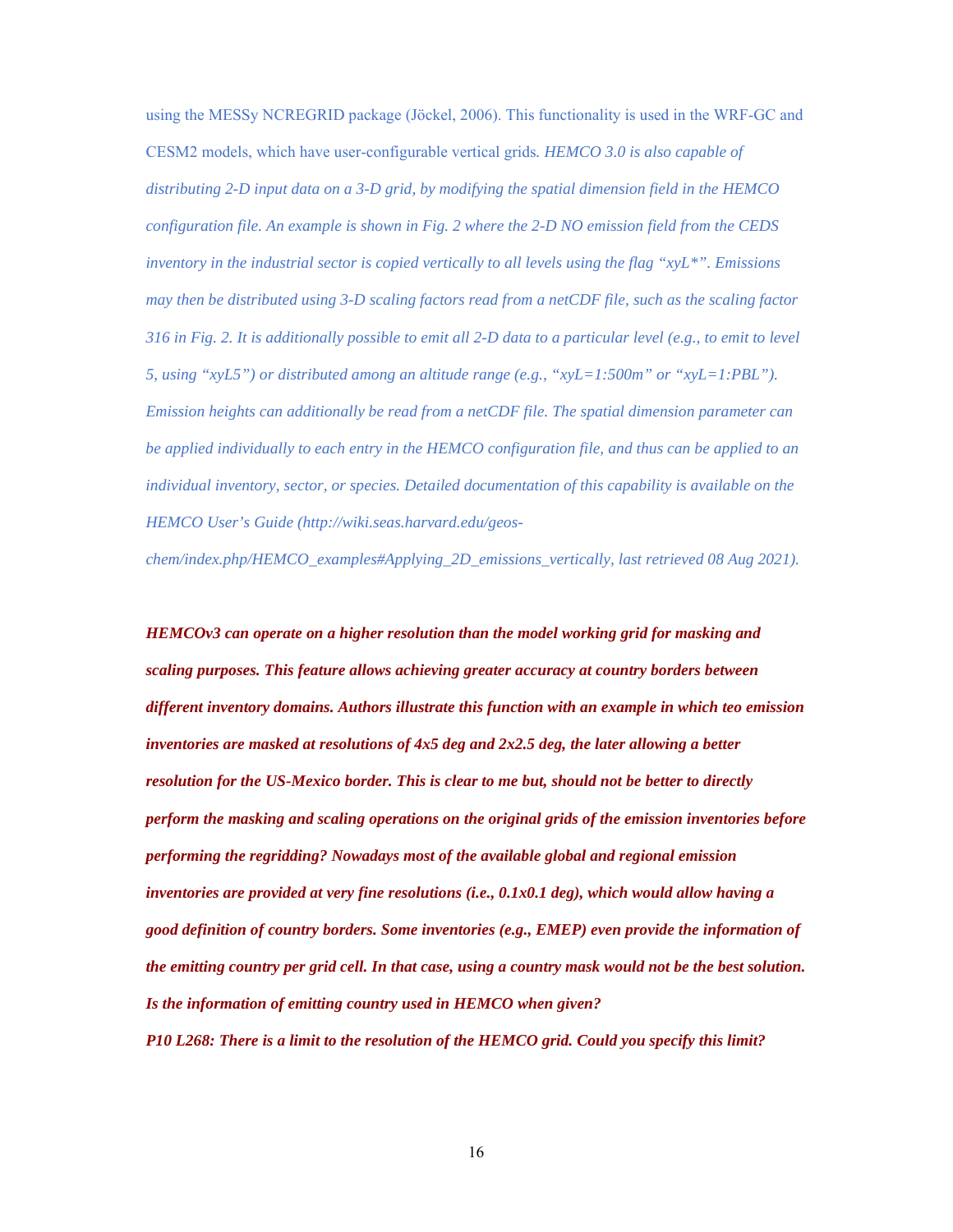using the MESSy NCREGRID package (Jöckel, 2006). This functionality is used in the WRF-GC and CESM2 models, which have user-configurable vertical grids*. HEMCO 3.0 is also capable of distributing 2-D input data on a 3-D grid, by modifying the spatial dimension field in the HEMCO configuration file. An example is shown in Fig. 2 where the 2-D NO emission field from the CEDS inventory in the industrial sector is copied vertically to all levels using the flag "xyL\*". Emissions may then be distributed using 3-D scaling factors read from a netCDF file, such as the scaling factor 316 in Fig. 2. It is additionally possible to emit all 2-D data to a particular level (e.g., to emit to level 5, using "xyL5") or distributed among an altitude range (e.g., "xyL=1:500m" or "xyL=1:PBL"). Emission heights can additionally be read from a netCDF file. The spatial dimension parameter can be applied individually to each entry in the HEMCO configuration file, and thus can be applied to an individual inventory, sector, or species. Detailed documentation of this capability is available on the HEMCO User's Guide (http://wiki.seas.harvard.edu/geos-*

*chem/index.php/HEMCO\_examples#Applying\_2D\_emissions\_vertically, last retrieved 08 Aug 2021).*

*HEMCOv3 can operate on a higher resolution than the model working grid for masking and scaling purposes. This feature allows achieving greater accuracy at country borders between different inventory domains. Authors illustrate this function with an example in which teo emission inventories are masked at resolutions of 4x5 deg and 2x2.5 deg, the later allowing a better resolution for the US-Mexico border. This is clear to me but, should not be better to directly perform the masking and scaling operations on the original grids of the emission inventories before performing the regridding? Nowadays most of the available global and regional emission inventories are provided at very fine resolutions (i.e., 0.1x0.1 deg), which would allow having a good definition of country borders. Some inventories (e.g., EMEP) even provide the information of the emitting country per grid cell. In that case, using a country mask would not be the best solution. Is the information of emitting country used in HEMCO when given?* 

*P10 L268: There is a limit to the resolution of the HEMCO grid. Could you specify this limit?*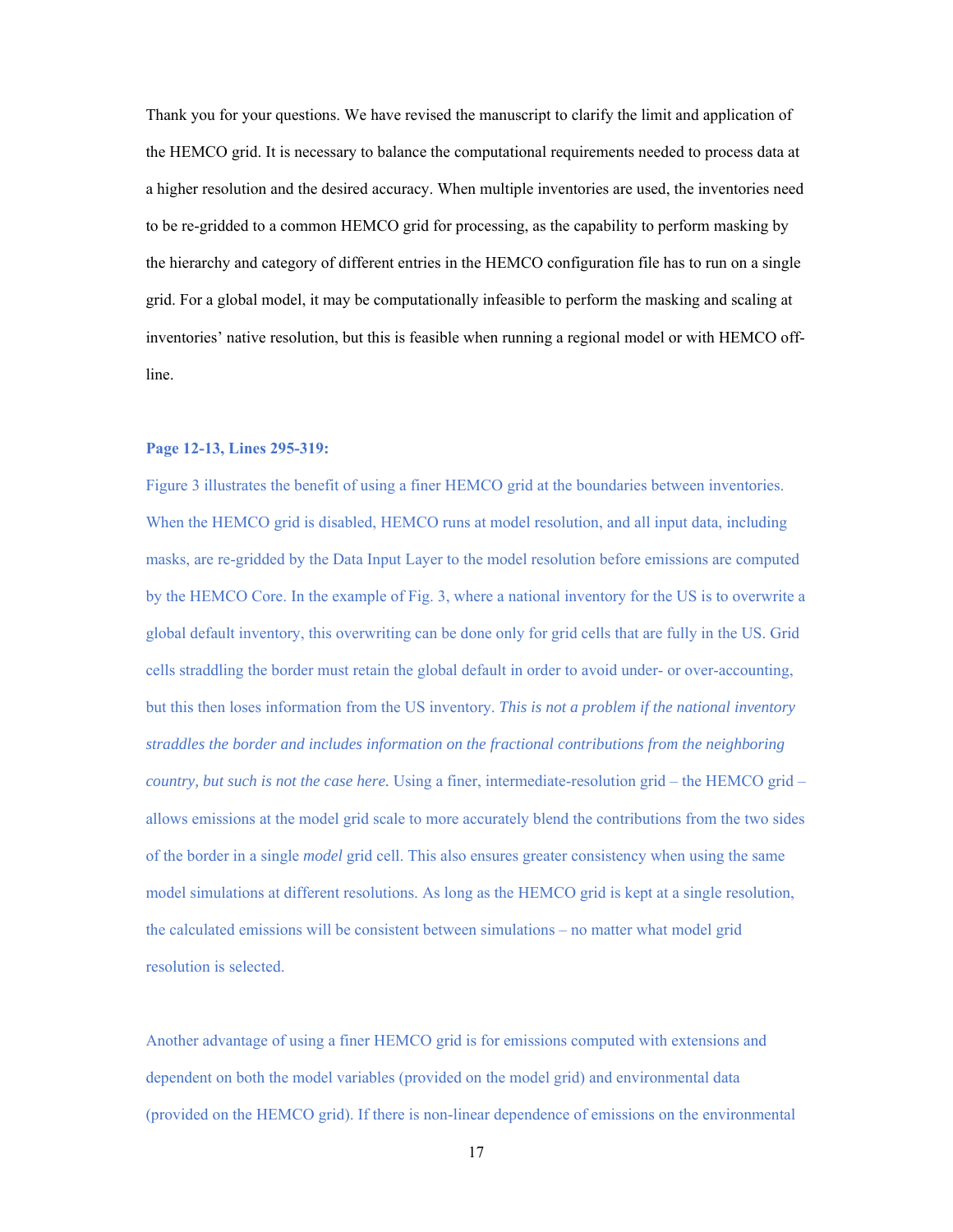Thank you for your questions. We have revised the manuscript to clarify the limit and application of the HEMCO grid. It is necessary to balance the computational requirements needed to process data at a higher resolution and the desired accuracy. When multiple inventories are used, the inventories need to be re-gridded to a common HEMCO grid for processing, as the capability to perform masking by the hierarchy and category of different entries in the HEMCO configuration file has to run on a single grid. For a global model, it may be computationally infeasible to perform the masking and scaling at inventories' native resolution, but this is feasible when running a regional model or with HEMCO offline.

## **Page 12-13, Lines 295-319:**

Figure 3 illustrates the benefit of using a finer HEMCO grid at the boundaries between inventories. When the HEMCO grid is disabled, HEMCO runs at model resolution, and all input data, including masks, are re-gridded by the Data Input Layer to the model resolution before emissions are computed by the HEMCO Core. In the example of Fig. 3, where a national inventory for the US is to overwrite a global default inventory, this overwriting can be done only for grid cells that are fully in the US. Grid cells straddling the border must retain the global default in order to avoid under- or over-accounting, but this then loses information from the US inventory. *This is not a problem if the national inventory straddles the border and includes information on the fractional contributions from the neighboring country, but such is not the case here.* Using a finer, intermediate-resolution grid – the HEMCO grid – allows emissions at the model grid scale to more accurately blend the contributions from the two sides of the border in a single *model* grid cell. This also ensures greater consistency when using the same model simulations at different resolutions. As long as the HEMCO grid is kept at a single resolution, the calculated emissions will be consistent between simulations – no matter what model grid resolution is selected.

Another advantage of using a finer HEMCO grid is for emissions computed with extensions and dependent on both the model variables (provided on the model grid) and environmental data (provided on the HEMCO grid). If there is non-linear dependence of emissions on the environmental